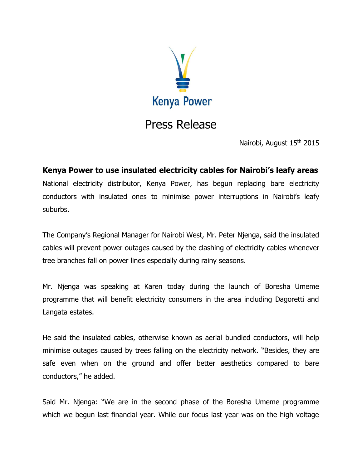

## Press Release

Nairobi, August 15<sup>th</sup> 2015

**Kenya Power to use insulated electricity cables for Nairobi's leafy areas** National electricity distributor, Kenya Power, has begun replacing bare electricity conductors with insulated ones to minimise power interruptions in Nairobi's leafy suburbs.

The Company's Regional Manager for Nairobi West, Mr. Peter Njenga, said the insulated cables will prevent power outages caused by the clashing of electricity cables whenever tree branches fall on power lines especially during rainy seasons.

Mr. Njenga was speaking at Karen today during the launch of Boresha Umeme programme that will benefit electricity consumers in the area including Dagoretti and Langata estates.

He said the insulated cables, otherwise known as aerial bundled conductors, will help minimise outages caused by trees falling on the electricity network. "Besides, they are safe even when on the ground and offer better aesthetics compared to bare conductors," he added.

Said Mr. Njenga: "We are in the second phase of the Boresha Umeme programme which we begun last financial year. While our focus last year was on the high voltage